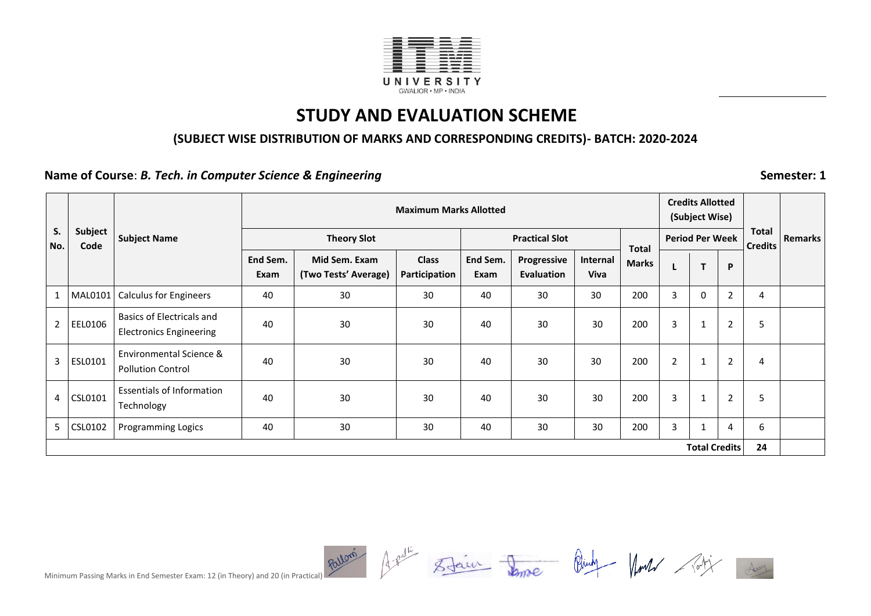

#### **(SUBJECT WISE DISTRIBUTION OF MARKS AND CORRESPONDING CREDITS)- BATCH: 2020-2024**

**Name of Course:** *B. Tech.**in Computer Science & Engineering* **<b>Semester: 1** Semester: 1

|                |                 |                                                             |                  | <b>Maximum Marks Allotted</b>         |                               |                  |                           |                         |              |                |                        | <b>Credits Allotted</b> |                         |                |
|----------------|-----------------|-------------------------------------------------------------|------------------|---------------------------------------|-------------------------------|------------------|---------------------------|-------------------------|--------------|----------------|------------------------|-------------------------|-------------------------|----------------|
|                |                 |                                                             |                  |                                       |                               |                  |                           |                         |              |                | (Subject Wise)         |                         |                         |                |
| S.<br>No.      | Subject<br>Code | <b>Subject Name</b>                                         |                  | <b>Theory Slot</b>                    |                               |                  | <b>Practical Slot</b>     |                         | <b>Total</b> |                | <b>Period Per Week</b> |                         | Total<br><b>Credits</b> | <b>Remarks</b> |
|                |                 |                                                             | End Sem.<br>Exam | Mid Sem. Exam<br>(Two Tests' Average) | <b>Class</b><br>Participation | End Sem.<br>Exam | Progressive<br>Evaluation | Internal<br><b>Viva</b> | <b>Marks</b> |                | T                      | P                       |                         |                |
|                | MAL0101         | <b>Calculus for Engineers</b>                               | 40               | 30                                    | 30                            | 40               | 30                        | 30                      | 200          | 3              | 0                      | $\overline{2}$          | 4                       |                |
| $\overline{2}$ | EEL0106         | Basics of Electricals and<br><b>Electronics Engineering</b> | 40               | 30                                    | 30                            | 40               | 30                        | 30                      | 200          | 3              | $\mathbf{1}$           | 2                       | 5                       |                |
| 3              | ESL0101         | Environmental Science &<br><b>Pollution Control</b>         | 40               | 30                                    | 30                            | 40               | 30                        | 30                      | 200          | $\overline{2}$ | 1                      | $\overline{2}$          | 4                       |                |
| 4              | CSL0101         | <b>Essentials of Information</b><br>Technology              | 40               | 30                                    | 30                            | 40               | 30                        | 30                      | 200          | 3              | $\mathbf{1}$           | 2                       | 5                       |                |
| 5              | CSL0102         | <b>Programming Logics</b>                                   | 40               | 30                                    | 30                            | 40               | 30                        | 30                      | 200          | 3              | $\mathbf{1}$           | 4                       | 6                       |                |
|                |                 |                                                             |                  |                                       |                               |                  |                           |                         |              |                | <b>Total Credits</b>   |                         | 24                      |                |

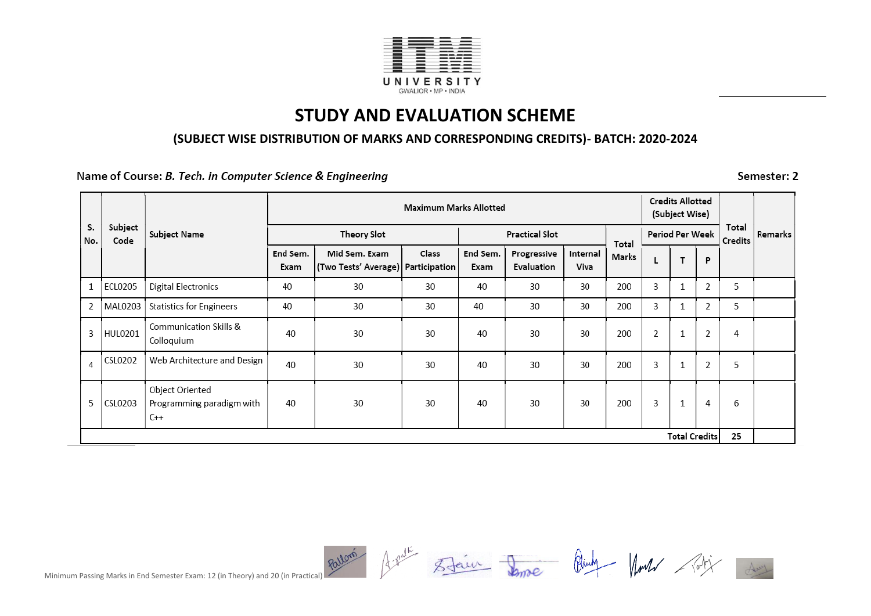

#### **(SUBJECT WISE DISTRIBUTION OF MARKS AND CORRESPONDING CREDITS)- BATCH: 2020-2024**

Name of Course: B. Tech. in Computer Science & Engineering

Semester: 2

|           |                 |                                                       |                  |                                                       | <b>Maximum Marks Allotted</b> |                  |                           |                  |       |                | <b>Credits Allotted</b><br>(Subject Wise) |                |                  |         |
|-----------|-----------------|-------------------------------------------------------|------------------|-------------------------------------------------------|-------------------------------|------------------|---------------------------|------------------|-------|----------------|-------------------------------------------|----------------|------------------|---------|
| s.<br>No. | Subject<br>Code | Subject Name                                          |                  | Theory Slot                                           |                               |                  | <b>Practical Slot</b>     |                  | Total |                | Period Per Week                           |                | Total<br>Credits | Remarks |
|           |                 |                                                       | End Sem.<br>Exam | Mid Sem. Exam<br>(Two Tests' Average)   Participation | Class                         | End Sem.<br>Exam | Progressive<br>Evaluation | Internal<br>Viva | Marks | L              | T                                         | $\mathsf{P}$   |                  |         |
|           | ECL0205         | <b>Digital Electronics</b>                            | 40               | 30                                                    | 30                            | 40               | 30                        | 30               | 200   | 3              | $\mathbf{1}$                              | $\overline{2}$ | 5                |         |
| 2         | MAL0203         | <b>Statistics for Engineers</b>                       | 40               | 30                                                    | 30                            | 40               | 30                        | 30               | 200   | 3              | 1                                         | 2              | 5                |         |
| 3         | HUL0201         | Communication Skills &<br>Colloquium                  | 40               | 30                                                    | 30                            | 40               | 30                        | 30               | 200   | $\overline{2}$ | 1                                         | $\overline{2}$ | 4                |         |
| 4         | CSL0202         | Web Architecture and Design                           | 40               | 30                                                    | 30                            | 40               | 30                        | 30               | 200   | 3              | 1                                         | $\overline{2}$ | 5                |         |
| 5         | CSL0203         | Object Oriented<br>Programming paradigm with<br>$C++$ | 40               | 30                                                    | 30                            | 40               | 30                        | 30               | 200   | 3              | 1                                         | 4              | 6                |         |
|           |                 |                                                       |                  |                                                       |                               |                  |                           |                  |       |                | <b>Total Credits</b>                      |                | 25               |         |

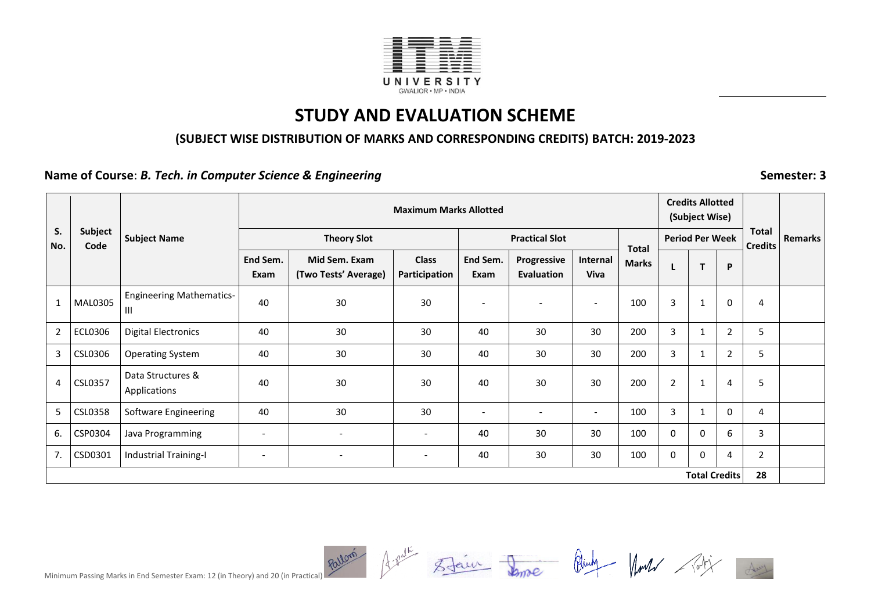

#### **(SUBJECT WISE DISTRIBUTION OF MARKS AND CORRESPONDING CREDITS) BATCH: 2019-2023**

**Name of Course:** *B. Tech. in Computer Science & Engineering* **<b>Semester: 3** Semester: 3

| S.             |                        |                                      |                              |                                       | <b>Maximum Marks Allotted</b> |                          |                                  |                          |              |                | <b>Credits Allotted</b><br>(Subject Wise) |                |                                | <b>Remarks</b> |
|----------------|------------------------|--------------------------------------|------------------------------|---------------------------------------|-------------------------------|--------------------------|----------------------------------|--------------------------|--------------|----------------|-------------------------------------------|----------------|--------------------------------|----------------|
| No.            | <b>Subject</b><br>Code | <b>Subject Name</b>                  |                              | <b>Theory Slot</b>                    |                               |                          | <b>Practical Slot</b>            |                          | <b>Total</b> |                | <b>Period Per Week</b>                    |                | <b>Total</b><br><b>Credits</b> |                |
|                |                        |                                      | End Sem.<br>Exam             | Mid Sem. Exam<br>(Two Tests' Average) | <b>Class</b><br>Participation | End Sem.<br>Exam         | Progressive<br><b>Evaluation</b> | Internal<br>Viva         | <b>Marks</b> |                | T.                                        | P              |                                |                |
| 1              | MAL0305                | <b>Engineering Mathematics-</b><br>Ш | 40                           | 30                                    | 30                            |                          |                                  | $\overline{\phantom{a}}$ | 100          | 3              | $\mathbf{1}$                              | 0              | 4                              |                |
| $\overline{2}$ | <b>ECL0306</b>         | <b>Digital Electronics</b>           | 40                           | 30                                    | 30                            | 40                       | 30                               | 30                       | 200          | 3              | $\mathbf{1}$                              | $\overline{2}$ | 5                              |                |
| 3              | CSL0306                | <b>Operating System</b>              | 40                           | 30                                    | 30                            | 40                       | 30                               | 30                       | 200          | 3              | $\mathbf{1}$                              | $\mathbf{2}$   | 5                              |                |
| 4              | CSL0357                | Data Structures &<br>Applications    | 40                           | 30                                    | 30                            | 40                       | 30                               | 30                       | 200          | $\overline{2}$ | $\mathbf{1}$                              | 4              | 5                              |                |
| 5              | <b>CSL0358</b>         | Software Engineering                 | 40                           | 30                                    | 30                            | $\overline{\phantom{a}}$ |                                  | $\overline{\phantom{a}}$ | 100          | 3              | $\mathbf{1}$                              | 0              | 4                              |                |
| 6.             | CSP0304                | Java Programming                     | $\qquad \qquad \blacksquare$ | $\overline{\phantom{a}}$              | $\overline{\phantom{a}}$      | 40                       | 30                               | 30                       | 100          | $\mathbf 0$    | $\mathbf 0$                               | 6              | 3                              |                |
| 7.             | CSD0301                | <b>Industrial Training-I</b>         | $\overline{\phantom{a}}$     | $\overline{\phantom{a}}$              | $\overline{\phantom{a}}$      | 40                       | 30                               | 30                       | 100          | 0              | 0                                         | 4              | $\overline{2}$                 |                |
|                |                        |                                      |                              |                                       |                               |                          |                                  |                          |              |                | <b>Total Credits</b>                      |                | 28                             |                |

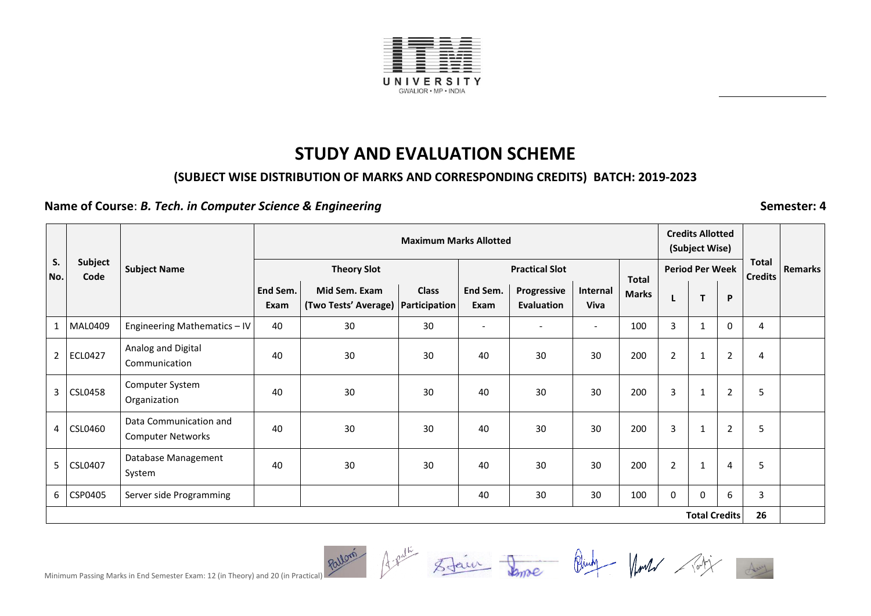

#### **(SUBJECT WISE DISTRIBUTION OF MARKS AND CORRESPONDING CREDITS) BATCH: 2019-2023**

### **Name of Course:** *B. Tech. in Computer Science & Engineering* **<b>Semester: 4** Semester: 4

| S.             |                 |                                                    | <b>Maximum Marks Allotted</b> |                                                       |              |                          |                           |                          |                              |                | <b>Credits Allotted</b><br>(Subject Wise) |                |                                |                |
|----------------|-----------------|----------------------------------------------------|-------------------------------|-------------------------------------------------------|--------------|--------------------------|---------------------------|--------------------------|------------------------------|----------------|-------------------------------------------|----------------|--------------------------------|----------------|
| No.            | Subject<br>Code | <b>Subject Name</b>                                |                               | <b>Theory Slot</b>                                    |              |                          | <b>Practical Slot</b>     |                          |                              |                | <b>Period Per Week</b>                    |                | <b>Total</b><br><b>Credits</b> | <b>Remarks</b> |
|                |                 |                                                    | End Sem.<br>Exam              | Mid Sem. Exam<br>(Two Tests' Average)   Participation | <b>Class</b> | End Sem.<br>Exam         | Progressive<br>Evaluation | Internal<br><b>Viva</b>  | <b>Total</b><br><b>Marks</b> |                | T                                         | P              |                                |                |
| $\mathbf{1}$   | MAL0409         | Engineering Mathematics - IV                       | 40                            | 30                                                    | 30           | $\overline{\phantom{a}}$ |                           | $\overline{\phantom{a}}$ | 100                          | 3              | -1                                        | $\mathbf{0}$   | 4                              |                |
| $\overline{2}$ | <b>ECL0427</b>  | Analog and Digital<br>Communication                | 40                            | 30                                                    | 30           | 40                       | 30                        | 30                       | 200                          | $\overline{2}$ | $\mathbf{1}$                              | $\overline{2}$ | 4                              |                |
| 3              | <b>CSL0458</b>  | Computer System<br>Organization                    | 40                            | 30                                                    | 30           | 40                       | 30                        | 30                       | 200                          | 3              | 1                                         | 2              | 5                              |                |
|                | 4 CSL0460       | Data Communication and<br><b>Computer Networks</b> | 40                            | 30                                                    | 30           | 40                       | 30                        | 30                       | 200                          | 3              | $\mathbf{1}$                              | $\overline{2}$ | 5                              |                |
|                | 5 CSL0407       | Database Management<br>System                      | 40                            | 30                                                    | 30           | 40                       | 30                        | 30                       | 200                          | $\overline{2}$ | -1                                        | 4              | 5                              |                |
| 6              | CSP0405         | Server side Programming                            |                               |                                                       |              | 40                       | 30                        | 30                       | 100                          | 0              | $\mathbf 0$                               | 6              | 3                              |                |
|                |                 |                                                    |                               |                                                       |              |                          |                           |                          |                              |                | <b>Total Credits</b>                      |                | 26                             |                |

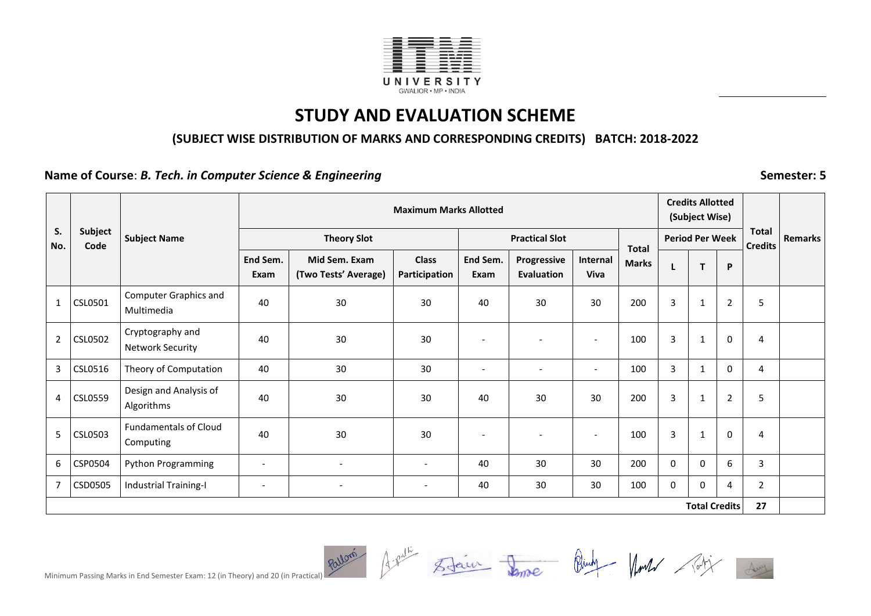

### **(SUBJECT WISE DISTRIBUTION OF MARKS AND CORRESPONDING CREDITS) BATCH: 2018-2022**

**Name of Course:** *B. Tech. in Computer Science & Engineering* **<b>***Semester: 5* 

|                |                 |                                             |                          |                                       | <b>Maximum Marks Allotted</b> |                          |                                  |                          |              |                | <b>Credits Allotted</b><br>(Subject Wise) |                |                                |                |
|----------------|-----------------|---------------------------------------------|--------------------------|---------------------------------------|-------------------------------|--------------------------|----------------------------------|--------------------------|--------------|----------------|-------------------------------------------|----------------|--------------------------------|----------------|
| S.<br>No.      | Subject<br>Code | <b>Subject Name</b>                         |                          | <b>Theory Slot</b>                    |                               |                          | <b>Practical Slot</b>            |                          | <b>Total</b> |                | <b>Period Per Week</b>                    |                | <b>Total</b><br><b>Credits</b> | <b>Remarks</b> |
|                |                 |                                             | End Sem.<br>Exam         | Mid Sem. Exam<br>(Two Tests' Average) | <b>Class</b><br>Participation | End Sem.<br>Exam         | Progressive<br><b>Evaluation</b> | Internal<br><b>Viva</b>  | <b>Marks</b> |                | $\mathbf{T}$                              | P              |                                |                |
| 1              | CSL0501         | <b>Computer Graphics and</b><br>Multimedia  | 40                       | 30                                    | 30                            | 40                       | 30                               | 30                       | 200          | 3              | 1                                         | 2              | 5                              |                |
| $\overline{2}$ | <b>CSL0502</b>  | Cryptography and<br><b>Network Security</b> | 40                       | 30                                    | 30                            | $\overline{\phantom{a}}$ | $\overline{\phantom{a}}$         | $\overline{\phantom{a}}$ | 100          | 3              | 1                                         | 0              | 4                              |                |
| $\mathbf{3}$   | CSL0516         | Theory of Computation                       | 40                       | 30                                    | 30                            |                          |                                  | $\overline{\phantom{a}}$ | 100          | $\overline{3}$ | $\mathbf 1$                               | $\mathbf 0$    | 4                              |                |
| 4              | <b>CSL0559</b>  | Design and Analysis of<br>Algorithms        | 40                       | 30                                    | 30                            | 40                       | 30                               | 30                       | 200          | 3              | $\mathbf{1}$                              | $\overline{2}$ | 5                              |                |
| 5              | CSL0503         | <b>Fundamentals of Cloud</b><br>Computing   | 40                       | 30                                    | 30                            | $\overline{\phantom{a}}$ | $\overline{\phantom{a}}$         | $\overline{a}$           | 100          | 3              | 1                                         | $\mathbf 0$    | 4                              |                |
| 6              | CSP0504         | Python Programming                          | $\overline{\phantom{a}}$ |                                       | $\overline{\phantom{a}}$      | 40                       | 30                               | 30                       | 200          | $\mathbf 0$    | 0                                         | 6              | 3                              |                |
|                | CSD0505         | <b>Industrial Training-I</b>                | $\overline{\phantom{a}}$ | $\overline{\phantom{a}}$              | $\overline{\phantom{a}}$      | 40                       | 30                               | 30                       | 100          | 0              | $\Omega$                                  | 4              | $\overline{2}$                 |                |
|                |                 |                                             |                          |                                       |                               |                          |                                  |                          |              |                | <b>Total Credits</b>                      |                | 27                             |                |



Minimum Passing Marks in End Semester Exam: 12 (in Theory) and 20 (in Practical) Rollom Assume State Continum Passing Marks in End Semester Exam: 12 (in Theory) and 20 (in Practical)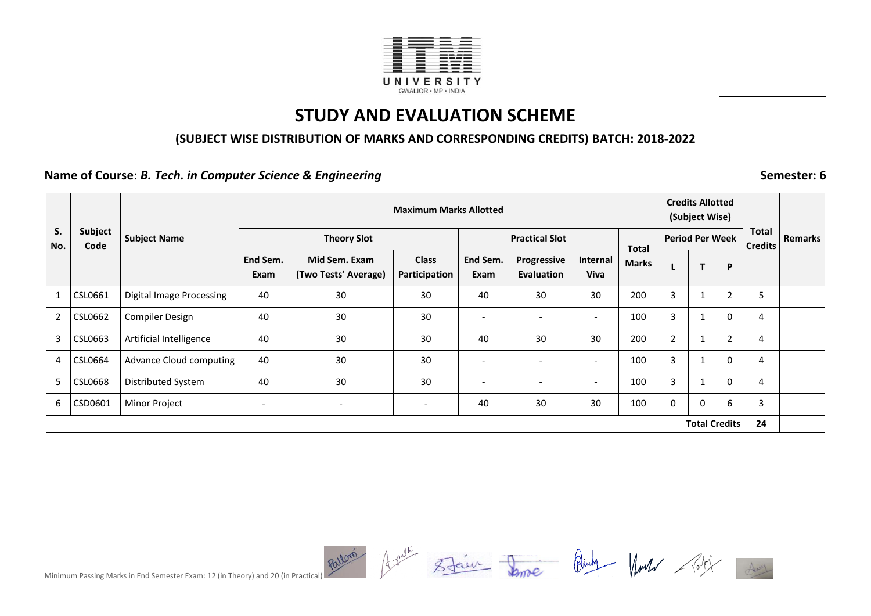

#### **(SUBJECT WISE DISTRIBUTION OF MARKS AND CORRESPONDING CREDITS) BATCH: 2018-2022**

**Name of Course:** *B. Tech. in Computer Science & Engineering* **<b>Semester: 6** Semester: 6

| S.             | Subject        | <b>Subject Name</b>             |                          | <b>Theory Slot</b>                    | <b>Maximum Marks Allotted</b> |                  | <b>Practical Slot</b>            |                          |                              |                | <b>Credits Allotted</b><br>(Subject Wise)<br><b>Period Per Week</b> |                | Total          | <b>Remarks</b> |
|----------------|----------------|---------------------------------|--------------------------|---------------------------------------|-------------------------------|------------------|----------------------------------|--------------------------|------------------------------|----------------|---------------------------------------------------------------------|----------------|----------------|----------------|
| No.            | Code           |                                 | End Sem.<br>Exam         | Mid Sem. Exam<br>(Two Tests' Average) | <b>Class</b><br>Participation | End Sem.<br>Exam | Progressive<br><b>Evaluation</b> | Internal<br><b>Viva</b>  | <b>Total</b><br><b>Marks</b> |                | T                                                                   | P              | <b>Credits</b> |                |
| $\mathbf{1}$   | CSL0661        | <b>Digital Image Processing</b> | 40                       | 30                                    | 30                            | 40               | 30                               | 30                       | 200                          | 3              |                                                                     | $\overline{2}$ | 5              |                |
| $\overline{2}$ | CSL0662        | <b>Compiler Design</b>          | 40                       | 30                                    | 30                            |                  |                                  | $\overline{\phantom{a}}$ | 100                          | 3              |                                                                     | $\mathbf 0$    | 4              |                |
| 3              | CSL0663        | Artificial Intelligence         | 40                       | 30                                    | 30                            | 40               | 30                               | 30                       | 200                          | $\overline{2}$ |                                                                     | $\overline{2}$ | 4              |                |
| 4              | CSL0664        | Advance Cloud computing         | 40                       | 30                                    | 30                            |                  |                                  | $\overline{\phantom{0}}$ | 100                          | 3              |                                                                     | $\Omega$       | 4              |                |
| 5              | <b>CSL0668</b> | Distributed System              | 40                       | 30                                    | 30                            |                  |                                  | $\overline{\phantom{a}}$ | 100                          | 3              |                                                                     | $\mathbf{0}$   | 4              |                |
| 6              | CSD0601        | Minor Project                   | $\overline{\phantom{a}}$ | $\overline{\phantom{a}}$              | $\overline{\phantom{a}}$      | 40               | 30                               | 30                       | 100                          | 0              | 0                                                                   | 6              | 3              |                |
|                |                |                                 |                          |                                       |                               |                  |                                  |                          |                              |                | <b>Total Credits</b>                                                |                | 24             |                |

Minimum Passing Marks in End Semester Exam: 12 (in Theory) and 20 (in Practical) Rollom Assume State Continum Passing Marks in End Semester Exam: 12 (in Theory) and 20 (in Practical)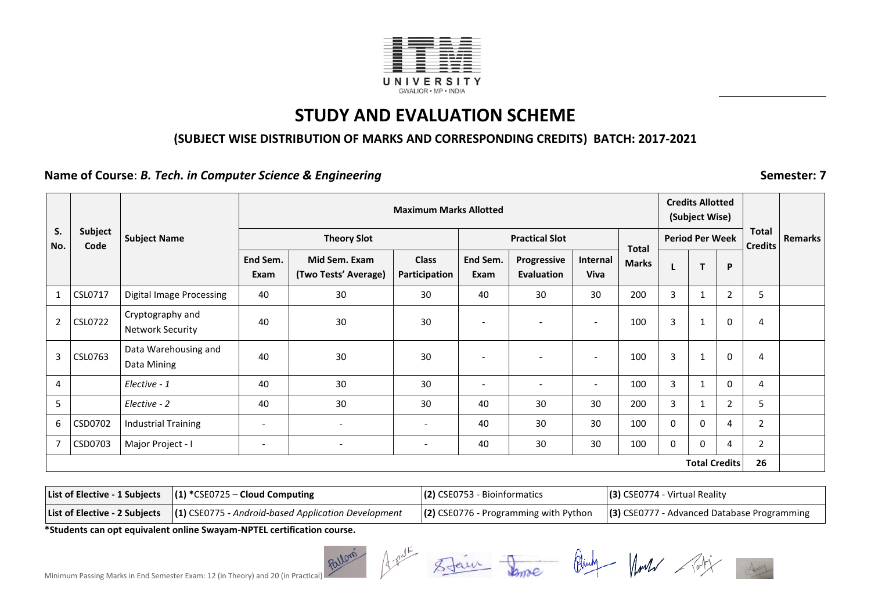

#### **(SUBJECT WISE DISTRIBUTION OF MARKS AND CORRESPONDING CREDITS) BATCH: 2017-2021**

**Name of Course:** *B. Tech. in Computer Science & Engineering* **<b>Semester: 7** Semester: 7

|                |                 |                                             |                          |                                       | <b>Maximum Marks Allotted</b> |                          |                           |                          |                              | <b>Credits Allotted</b><br>(Subject Wise) |                        |             |                                |                |
|----------------|-----------------|---------------------------------------------|--------------------------|---------------------------------------|-------------------------------|--------------------------|---------------------------|--------------------------|------------------------------|-------------------------------------------|------------------------|-------------|--------------------------------|----------------|
| S.<br>No.      | Subject<br>Code | <b>Subject Name</b>                         |                          | <b>Theory Slot</b>                    |                               |                          | <b>Practical Slot</b>     |                          |                              |                                           | <b>Period Per Week</b> |             | <b>Total</b><br><b>Credits</b> | <b>Remarks</b> |
|                |                 |                                             | End Sem.<br>Exam         | Mid Sem. Exam<br>(Two Tests' Average) | <b>Class</b><br>Participation | End Sem.<br>Exam         | Progressive<br>Evaluation | Internal<br><b>Viva</b>  | <b>Total</b><br><b>Marks</b> |                                           | T                      | P           |                                |                |
| 1              | CSL0717         | <b>Digital Image Processing</b>             | 40                       | 30                                    | 30                            | 40                       | 30                        | 30                       | 200                          | 3                                         |                        | 2           | 5                              |                |
| $\overline{2}$ | <b>CSL0722</b>  | Cryptography and<br><b>Network Security</b> | 40                       | 30                                    | 30                            |                          | $\overline{\phantom{a}}$  | $\overline{\phantom{a}}$ | 100                          | 3                                         | 1                      | $\mathbf 0$ | 4                              |                |
| 3              | CSL0763         | Data Warehousing and<br>Data Mining         | 40                       | 30                                    | 30                            |                          | $\overline{\phantom{a}}$  | $\overline{\phantom{a}}$ | 100                          | 3                                         | 1                      | $\mathbf 0$ | 4                              |                |
| 4              |                 | Elective - 1                                | 40                       | 30                                    | 30                            | $\overline{\phantom{a}}$ | $\overline{\phantom{a}}$  | $\overline{a}$           | 100                          | 3                                         | 1                      | $\mathbf 0$ | 4                              |                |
| 5              |                 | Elective - 2                                | 40                       | 30                                    | 30                            | 40                       | 30                        | 30                       | 200                          | 3                                         |                        | 2           | 5                              |                |
| 6              | CSD0702         | <b>Industrial Training</b>                  | $\overline{\phantom{a}}$ | $\overline{\phantom{a}}$              | $\overline{\phantom{a}}$      | 40                       | 30                        | 30                       | 100                          | 0                                         | $\mathbf{0}$           | 4           | $\overline{2}$                 |                |
| 7              | CSD0703         | Major Project - I                           | $\overline{\phantom{a}}$ |                                       | $\overline{\phantom{a}}$      | 40                       | 30                        | 30                       | 100                          | 0                                         | $\Omega$               | 4           | $\overline{2}$                 |                |
|                |                 |                                             |                          |                                       |                               |                          |                           |                          |                              |                                           | <b>Total Credits</b>   |             | 26                             |                |

| List of Elective - 1 Subjects $ (1) *$ CSE0725 – Cloud Computing                    | $(2)$ CSE0753 - Bioinformatics | $(3)$ CSE0774 - Virtual Reality                                                                                             |
|-------------------------------------------------------------------------------------|--------------------------------|-----------------------------------------------------------------------------------------------------------------------------|
| List of Elective - 2 Subjects   (1) CSE0775 - Android-based Application Development |                                | $\left  \frac{2}{2} \right $ CSE0776 - Programming with Python $\left  \right $ (3) CSE0777 - Advanced Database Programming |

**\*Students can opt equivalent online Swayam-NPTEL certification course.**